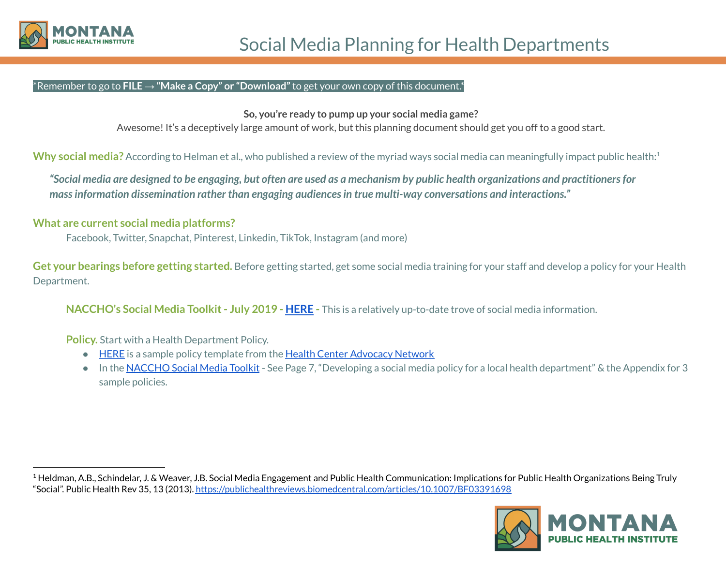

## \*Remember to go to **FILE → "Make a Copy" or "Download"**to get your own copy of this document.\*

**So, you're ready to pump up your social media game?**

Awesome! It's a deceptively large amount of work, but this planning document should get you off to a good start.

**Why social media?** According to Helman et al., who published a review of the myriad ways social media can meaningfully impact public health: 1

"Social media are designed to be engaging, but often are used as a mechanism by public health organizations and practitioners for *massinformation dissemination rather than engaging audiencesin true multi-way conversations and interactions."*

## **What are current social media platforms?**

Facebook, Twitter, Snapchat, Pinterest, Linkedin, TikTok, Instagram (and more)

**Get your bearings before getting started.** Before getting started, get some social media training for your staff and develop a policy for your Health Department.

**NACCHO's Social Media Toolkit- July 2019 - [HERE](https://www.naccho.org/uploads/downloadable-resources/Social-Media-Toolkit-for-LHDs-2019.pdf) -** This is a relatively up-to-date trove of social media information.

**Policy.** Start with a Health Department Policy.

- [HERE](https://docs.google.com/document/d/1lm859XhQ6HN1csPLL78yqWwJbtyYyTD2YvBLm9N33w4/edit?usp=sharing) is a sample policy template from the Health Center [Advocacy](https://www.hcadvocacy.org/) Network
- In the [NACCHO](https://www.naccho.org/uploads/downloadable-resources/Social-Media-Toolkit-for-LHDs-2019.pdf) Social Media Toolkit See Page 7, "Developing a social media policy for a local health department" & the Appendix for 3 sample policies.

 $1$  Heldman, A.B., Schindelar, J. & Weaver, J.B. Social Media Engagement and Public Health Communication: Implications for Public Health Organizations Being Truly "Social". Public Health Rev 35, 13 (2013). <https://publichealthreviews.biomedcentral.com/articles/10.1007/BF03391698>